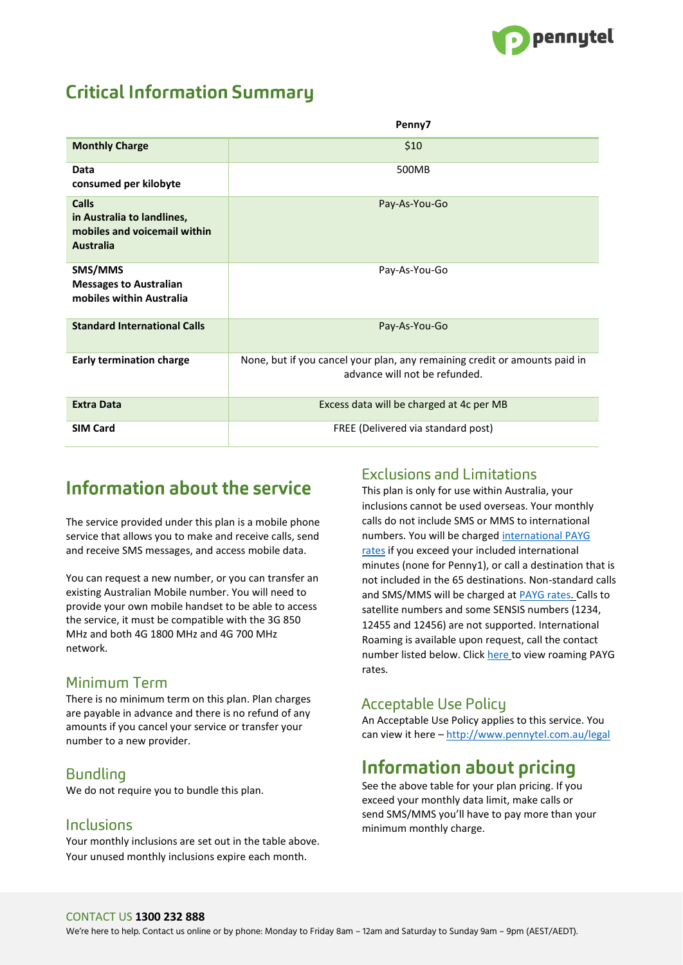

# **Critical Information Summary**

|                                                                                                | Penny7                                                                                                      |
|------------------------------------------------------------------------------------------------|-------------------------------------------------------------------------------------------------------------|
| <b>Monthly Charge</b>                                                                          | \$10                                                                                                        |
| Data<br>consumed per kilobyte                                                                  | 500MB                                                                                                       |
| <b>Calls</b><br>in Australia to landlines,<br>mobiles and voicemail within<br><b>Australia</b> | Pay-As-You-Go                                                                                               |
| SMS/MMS<br><b>Messages to Australian</b><br>mobiles within Australia                           | Pay-As-You-Go                                                                                               |
| <b>Standard International Calls</b>                                                            | Pay-As-You-Go                                                                                               |
| <b>Early termination charge</b>                                                                | None, but if you cancel your plan, any remaining credit or amounts paid in<br>advance will not be refunded. |
| <b>Extra Data</b>                                                                              | Excess data will be charged at 4c per MB                                                                    |
| <b>SIM Card</b>                                                                                | FREE (Delivered via standard post)                                                                          |

# Information about the service

The service provided under this plan is a mobile phone service that allows you to make and receive calls, send and receive SMS messages, and access mobile data.

You can request a new number, or you can transfer an existing Australian Mobile number. You will need to provide your own mobile handset to be able to access the service, it must be compatible with the 3G 850 MHz and both 4G 1800 MHz and 4G 700 MHz network.

### Minimum Term

There is no minimum term on this plan. Plan charges are payable in advance and there is no refund of any amounts if you cancel your service or transfer your number to a new provider.

### Bundling

We do not require you to bundle this plan.

#### Inclusions

Your monthly inclusions are set out in the table above. Your unused monthly inclusions expire each month.

#### **Exclusions and Limitations**

This plan is only for use within Australia, your inclusions cannot be used overseas. Your monthly calls do not include SMS or MMS to international numbers. You will be charged [international PAYG](http://www.pennytel.com.au/mobile/international-calls) [rates](http://www.pennytel.com.au/mobile/international-calls) if you exceed your included international minutes (none for Penny1), or call a destination that is not included in the 65 destinations. Non-standard calls and SMS/MMS will be charged at [PAYG rates. C](http://www.pennytel.com.au/legal/standard-rates-fees)alls to satellite numbers and some SENSIS numbers (1234, 12455 and 12456) are not supported. International Roaming is available upon request, call the contact number listed below. Click [here](http://www.pennytel.com.au/mobile/roaming) to view roaming PAYG rates.

## **Acceptable Use Policy**

An Acceptable Use Policy applies to this service. You can view it here – <http://www.pennytel.com.au/legal>

# Information about pricing

See the above table for your plan pricing. If you exceed your monthly data limit, make calls or send SMS/MMS you'll have to pay more than your minimum monthly charge.

#### CONTACT US **1300 232 888**

We're here to help. Contact us online or by phone: Monday to Friday 8am – 12am and Saturday to Sunday 9am – 9pm (AEST/AEDT).